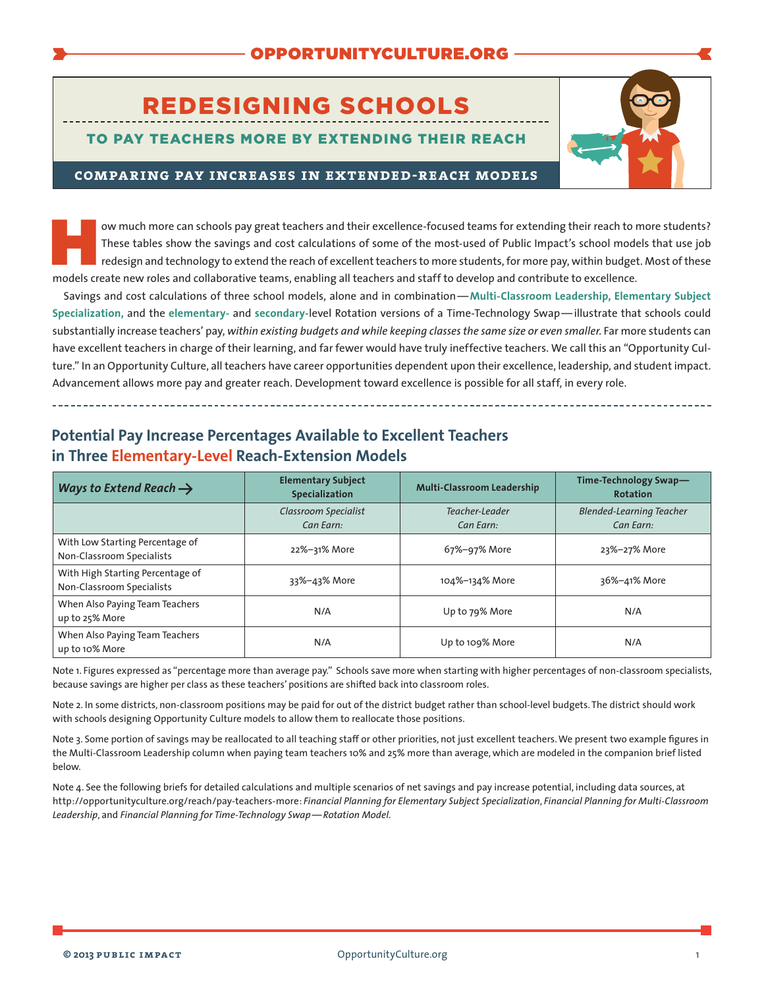# REDESIGNING SCHOOLS

### TO PAY TEACHERS MORE BY EXTENDING THEIR REACH



#### **comparing pay increases in extended-reach models**

ow much more can schools pay great teachers and their excellence-focused teams for extending their reach to more students?<br>These tables show the savings and cost calculations of some of the most-used of Public Impact's sch These tables show the savings and cost calculations of some of the most-used of Public Impact's school models that use job redesign and technology to extend the reach of excellent teachers to more students, for more pay, within budget. Most of these models create new roles and collaborative teams, enabling all teachers and staff to develop and contribute to excellence.

Savings and cost calculations of three school models, alone and in combination—**[Multi-Classroom Leadership,](http://opportunityculture.org/wp-content/uploads/2012/07/Financial_Planning_Multi-Classroom_Leadership-Public_Impact.pdf) [Elementary Subject](http://opportunityculture.org/wp-content/uploads/2012/07/Financial_Planning_Elem_Subject_Specialization-Public_Impact.pdf)  [Specialization,](http://opportunityculture.org/wp-content/uploads/2012/07/Financial_Planning_Elem_Subject_Specialization-Public_Impact.pdf)** and the **[elementary-](http://opportunityculture.org/wp-content/uploads/2012/07/Financial_Planning_Time-Tech_Swap_Rotation-Public_Impact.pdf)** and **[secondary-](http://opportunityculture.org/wp-content/uploads/2013/10/Financial_Planning_Secondary_Level_Time-Tech_Swap_MCL-Public_Impact.pdf)**level Rotation versions of a Time-Technology Swap—illustrate that schools could substantially increase teachers' pay, *within existing budgets and while keeping classes the same size or even smaller*. Far more students can have excellent teachers in charge of their learning, and far fewer would have truly ineffective teachers. We call this an "Opportunity Culture." In an Opportunity Culture, all teachers have career opportunities dependent upon their excellence, leadership, and student impact. Advancement allows more pay and greater reach. Development toward excellence is possible for all staff, in every role.

| Ways to Extend Reach $\rightarrow$                            | <b>Elementary Subject</b><br><b>Specialization</b> | <b>Multi-Classroom Leadership</b> | Time-Technology Swap-<br><b>Rotation</b>     |
|---------------------------------------------------------------|----------------------------------------------------|-----------------------------------|----------------------------------------------|
|                                                               | Classroom Specialist<br>Can Earn:                  | Teacher-Leader<br>Can Earn:       | <b>Blended-Learning Teacher</b><br>Can Earn: |
| With Low Starting Percentage of<br>Non-Classroom Specialists  | 22%-31% More                                       | 67%-97% More                      | 23%-27% More                                 |
| With High Starting Percentage of<br>Non-Classroom Specialists | 33%-43% More                                       | 104%-134% More                    | 36%-41% More                                 |
| When Also Paying Team Teachers<br>up to 25% More              | N/A                                                | Up to 79% More                    | N/A                                          |
| When Also Paying Team Teachers<br>up to 10% More              | N/A                                                | Up to 109% More                   | N/A                                          |

## **Potential Pay Increase Percentages Available to Excellent Teachers in Three Elementary-Level Reach-Extension Models**

Note 1. Figures expressed as "percentage more than average pay." Schools save more when starting with higher percentages of non-classroom specialists, because savings are higher per class as these teachers' positions are shifted back into classroom roles.

Note 2. In some districts, non-classroom positions may be paid for out of the district budget rather than school-level budgets. The district should work with schools designing Opportunity Culture models to allow them to reallocate those positions.

Note 3. Some portion of savings may be reallocated to all teaching staff or other priorities, not just excellent teachers.We present two example figures in the Multi-Classroom Leadership column when paying team teachers 10% and 25% more than average, which are modeled in the companion brief listed below.

Note 4. See the following briefs for detailed calculations and multiple scenarios of net savings and pay increase potential, including data sources, at [http://opportunityculture.org/reach/pay-teachers-more:](http://opportunityculture.org/reach/pay-teachers-more) *Financial Planning for Elementary Subject Specialization*, *Financial Planning for Multi-Classroom Leadership*, and *Financial Planning for Time-Technology Swap—Rotation Model*.